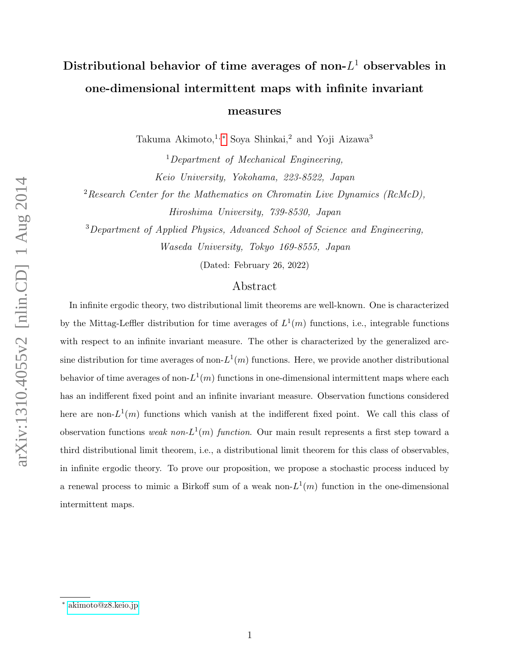# Distributional behavior of time averages of non- $L^1$  observables in one-dimensional intermittent maps with infinite invariant

measures

Takuma Akimoto,<sup>1,[∗](#page-0-0)</sup> Soya Shinkai,<sup>2</sup> and Yoji Aizawa<sup>3</sup>

 $1$ Department of Mechanical Engineering, Keio University, Yokohama, 223-8522, Japan

 $2$ Research Center for the Mathematics on Chromatin Live Dynamics (RcMcD), Hiroshima University, 739-8530, Japan

<sup>3</sup>Department of Applied Physics, Advanced School of Science and Engineering, Waseda University, Tokyo 169-8555, Japan

(Dated: February 26, 2022)

## Abstract

In infinite ergodic theory, two distributional limit theorems are well-known. One is characterized by the Mittag-Leffler distribution for time averages of  $L^1(m)$  functions, i.e., integrable functions with respect to an infinite invariant measure. The other is characterized by the generalized arcsine distribution for time averages of non- $L^1(m)$  functions. Here, we provide another distributional behavior of time averages of non- $L^1(m)$  functions in one-dimensional intermittent maps where each has an indifferent fixed point and an infinite invariant measure. Observation functions considered here are non- $L^1(m)$  functions which vanish at the indifferent fixed point. We call this class of observation functions weak non- $L^1(m)$  function. Our main result represents a first step toward a third distributional limit theorem, i.e., a distributional limit theorem for this class of observables, in infinite ergodic theory. To prove our proposition, we propose a stochastic process induced by a renewal process to mimic a Birkoff sum of a weak non- $L^1(m)$  function in the one-dimensional intermittent maps.

<span id="page-0-0"></span><sup>∗</sup> [akimoto@z8.keio.jp](mailto:akimoto@z8.keio.jp)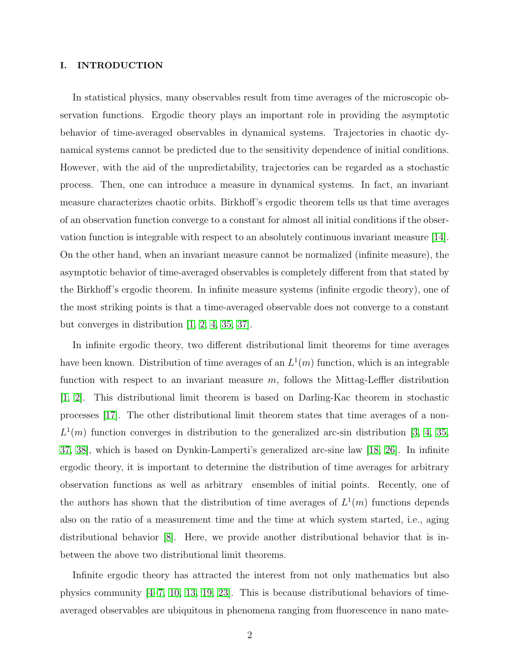#### I. INTRODUCTION

In statistical physics, many observables result from time averages of the microscopic observation functions. Ergodic theory plays an important role in providing the asymptotic behavior of time-averaged observables in dynamical systems. Trajectories in chaotic dynamical systems cannot be predicted due to the sensitivity dependence of initial conditions. However, with the aid of the unpredictability, trajectories can be regarded as a stochastic process. Then, one can introduce a measure in dynamical systems. In fact, an invariant measure characterizes chaotic orbits. Birkhoff's ergodic theorem tells us that time averages of an observation function converge to a constant for almost all initial conditions if the observation function is integrable with respect to an absolutely continuous invariant measure [\[14\]](#page-21-0). On the other hand, when an invariant measure cannot be normalized (infinite measure), the asymptotic behavior of time-averaged observables is completely different from that stated by the Birkhoff's ergodic theorem. In infinite measure systems (infinite ergodic theory), one of the most striking points is that a time-averaged observable does not converge to a constant but converges in distribution [\[1,](#page-20-0) [2,](#page-20-1) [4,](#page-20-2) [35,](#page-22-0) [37\]](#page-23-0).

In infinite ergodic theory, two different distributional limit theorems for time averages have been known. Distribution of time averages of an  $L^1(m)$  function, which is an integrable function with respect to an invariant measure  $m$ , follows the Mittag-Leffler distribution [\[1,](#page-20-0) [2\]](#page-20-1). This distributional limit theorem is based on Darling-Kac theorem in stochastic processes [\[17\]](#page-21-1). The other distributional limit theorem states that time averages of a non- $L^1(m)$  function converges in distribution to the generalized arc-sin distribution [\[3,](#page-20-3) [4,](#page-20-2) [35,](#page-22-0) [37,](#page-23-0) [38\]](#page-23-1), which is based on Dynkin-Lamperti's generalized arc-sine law [\[18,](#page-21-2) [26\]](#page-22-1). In infinite ergodic theory, it is important to determine the distribution of time averages for arbitrary observation functions as well as arbitrary ensembles of initial points. Recently, one of the authors has shown that the distribution of time averages of  $L^1(m)$  functions depends also on the ratio of a measurement time and the time at which system started, i.e., aging distributional behavior [\[8\]](#page-21-3). Here, we provide another distributional behavior that is inbetween the above two distributional limit theorems.

Infinite ergodic theory has attracted the interest from not only mathematics but also physics community [\[4–](#page-20-2)[7,](#page-21-4) [10,](#page-21-5) [13,](#page-21-6) [19,](#page-21-7) [23\]](#page-22-2). This is because distributional behaviors of timeaveraged observables are ubiquitous in phenomena ranging from fluorescence in nano mate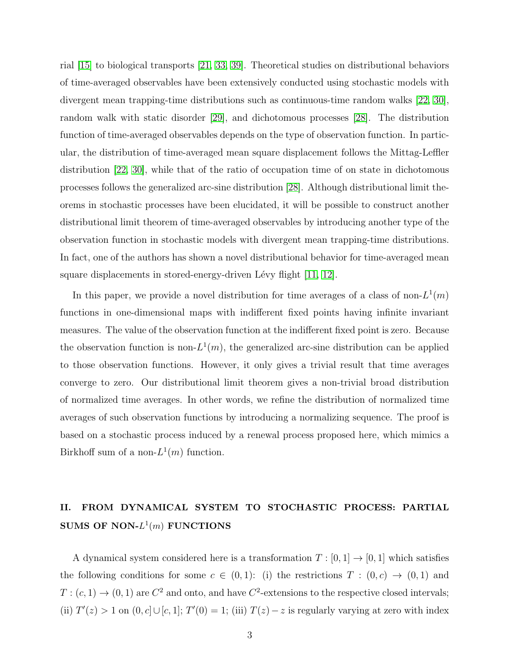rial [\[15\]](#page-21-8) to biological transports [\[21,](#page-21-9) [33,](#page-22-3) [39\]](#page-23-2). Theoretical studies on distributional behaviors of time-averaged observables have been extensively conducted using stochastic models with divergent mean trapping-time distributions such as continuous-time random walks [\[22,](#page-22-4) [30\]](#page-22-5), random walk with static disorder [\[29\]](#page-22-6), and dichotomous processes [\[28\]](#page-22-7). The distribution function of time-averaged observables depends on the type of observation function. In particular, the distribution of time-averaged mean square displacement follows the Mittag-Leffler distribution [\[22,](#page-22-4) [30\]](#page-22-5), while that of the ratio of occupation time of on state in dichotomous processes follows the generalized arc-sine distribution [\[28\]](#page-22-7). Although distributional limit theorems in stochastic processes have been elucidated, it will be possible to construct another distributional limit theorem of time-averaged observables by introducing another type of the observation function in stochastic models with divergent mean trapping-time distributions. In fact, one of the authors has shown a novel distributional behavior for time-averaged mean square displacements in stored-energy-driven Lévy flight  $[11, 12]$  $[11, 12]$ .

In this paper, we provide a novel distribution for time averages of a class of non- $L^1(m)$ functions in one-dimensional maps with indifferent fixed points having infinite invariant measures. The value of the observation function at the indifferent fixed point is zero. Because the observation function is non- $L^1(m)$ , the generalized arc-sine distribution can be applied to those observation functions. However, it only gives a trivial result that time averages converge to zero. Our distributional limit theorem gives a non-trivial broad distribution of normalized time averages. In other words, we refine the distribution of normalized time averages of such observation functions by introducing a normalizing sequence. The proof is based on a stochastic process induced by a renewal process proposed here, which mimics a Birkhoff sum of a non- $L^1(m)$  function.

# II. FROM DYNAMICAL SYSTEM TO STOCHASTIC PROCESS: PARTIAL SUMS OF NON- $L^1(m)$  FUNCTIONS

A dynamical system considered here is a transformation  $T : [0, 1] \rightarrow [0, 1]$  which satisfies the following conditions for some  $c \in (0,1)$ : (i) the restrictions  $T : (0, c) \rightarrow (0, 1)$  and  $T:(c,1) \to (0,1)$  are  $C^2$  and onto, and have  $C^2$ -extensions to the respective closed intervals; (ii)  $T'(z) > 1$  on  $(0, c] \cup [c, 1]; T'(0) = 1$ ; (iii)  $T(z) - z$  is regularly varying at zero with index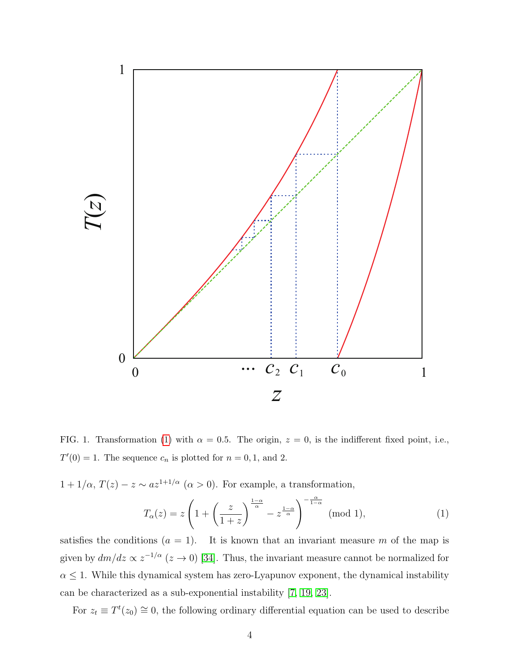

<span id="page-3-1"></span>FIG. 1. Transformation [\(1\)](#page-3-0) with  $\alpha = 0.5$ . The origin,  $z = 0$ , is the indifferent fixed point, i.e.,  $T'(0) = 1$ . The sequence  $c_n$  is plotted for  $n = 0, 1$ , and 2.

 $1 + 1/\alpha$ ,  $T(z) - z \sim az^{1+1/\alpha}$  ( $\alpha > 0$ ). For example, a transformation,

<span id="page-3-0"></span>
$$
T_{\alpha}(z) = z \left( 1 + \left( \frac{z}{1+z} \right)^{\frac{1-\alpha}{\alpha}} - z^{\frac{1-\alpha}{\alpha}} \right)^{-\frac{\alpha}{1-\alpha}} \text{ (mod 1)},\tag{1}
$$

satisfies the conditions  $(a = 1)$ . It is known that an invariant measure m of the map is given by  $dm/dz \propto z^{-1/\alpha}$  ( $z \to 0$ ) [\[34\]](#page-22-8). Thus, the invariant measure cannot be normalized for  $\alpha \leq 1$ . While this dynamical system has zero-Lyapunov exponent, the dynamical instability can be characterized as a sub-exponential instability [\[7,](#page-21-4) [19,](#page-21-7) [23\]](#page-22-2).

For  $z_t \equiv T^t(z_0) \approx 0$ , the following ordinary differential equation can be used to describe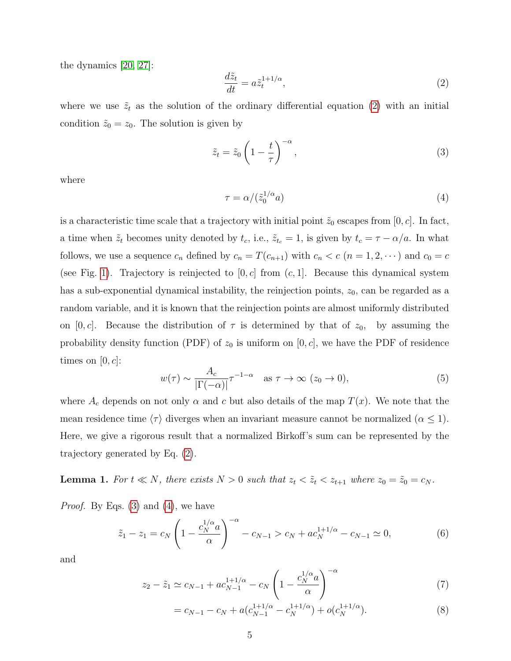the dynamics [\[20,](#page-21-12) [27\]](#page-22-9):

<span id="page-4-0"></span>
$$
\frac{d\tilde{z}_t}{dt} = a\tilde{z}_t^{1+1/\alpha},\tag{2}
$$

where we use  $\tilde{z}_t$  as the solution of the ordinary differential equation [\(2\)](#page-4-0) with an initial condition  $\tilde{z}_0 = z_0$ . The solution is given by

<span id="page-4-1"></span>
$$
\tilde{z}_t = \tilde{z}_0 \left( 1 - \frac{t}{\tau} \right)^{-\alpha},\tag{3}
$$

where

<span id="page-4-2"></span>
$$
\tau = \alpha / (\tilde{z}_0^{1/\alpha} a) \tag{4}
$$

is a characteristic time scale that a trajectory with initial point  $\tilde{z}_0$  escapes from [0, c]. In fact, a time when  $\tilde{z}_t$  becomes unity denoted by  $t_c$ , i.e.,  $\tilde{z}_{t_c} = 1$ , is given by  $t_c = \tau - \alpha/a$ . In what follows, we use a sequence  $c_n$  defined by  $c_n = T(c_{n+1})$  with  $c_n < c$   $(n = 1, 2, \dots)$  and  $c_0 = c$ (see Fig. [1\)](#page-3-1). Trajectory is reinjected to  $[0, c]$  from  $(c, 1]$ . Because this dynamical system has a sub-exponential dynamical instability, the reinjection points,  $z_0$ , can be regarded as a random variable, and it is known that the reinjection points are almost uniformly distributed on [0, c]. Because the distribution of  $\tau$  is determined by that of  $z_0$ , by assuming the probability density function (PDF) of  $z_0$  is uniform on [0, c], we have the PDF of residence times on  $[0, c]$ :

<span id="page-4-3"></span>
$$
w(\tau) \sim \frac{A_c}{|\Gamma(-\alpha)|} \tau^{-1-\alpha} \quad \text{as } \tau \to \infty \ (z_0 \to 0), \tag{5}
$$

where  $A_c$  depends on not only  $\alpha$  and  $c$  but also details of the map  $T(x)$ . We note that the mean residence time  $\langle \tau \rangle$  diverges when an invariant measure cannot be normalized  $(\alpha \leq 1)$ . Here, we give a rigorous result that a normalized Birkoff's sum can be represented by the trajectory generated by Eq. [\(2\)](#page-4-0).

**Lemma 1.** For  $t \ll N$ , there exists  $N > 0$  such that  $z_t < \tilde{z}_t < z_{t+1}$  where  $z_0 = \tilde{z}_0 = c_N$ .

*Proof.* By Eqs.  $(3)$  and  $(4)$ , we have

$$
\tilde{z}_1 - z_1 = c_N \left( 1 - \frac{c_N^{1/\alpha} a}{\alpha} \right)^{-\alpha} - c_{N-1} > c_N + a c_N^{1+1/\alpha} - c_{N-1} \simeq 0,\tag{6}
$$

and

$$
z_2 - \tilde{z}_1 \simeq c_{N-1} + ac_{N-1}^{1+1/\alpha} - c_N \left( 1 - \frac{c_N^{1/\alpha}}{\alpha} \right)^{-\alpha} \tag{7}
$$

$$
= c_{N-1} - c_N + a(c_{N-1}^{1+1/\alpha} - c_N^{1+1/\alpha}) + o(c_N^{1+1/\alpha}).
$$
\n(8)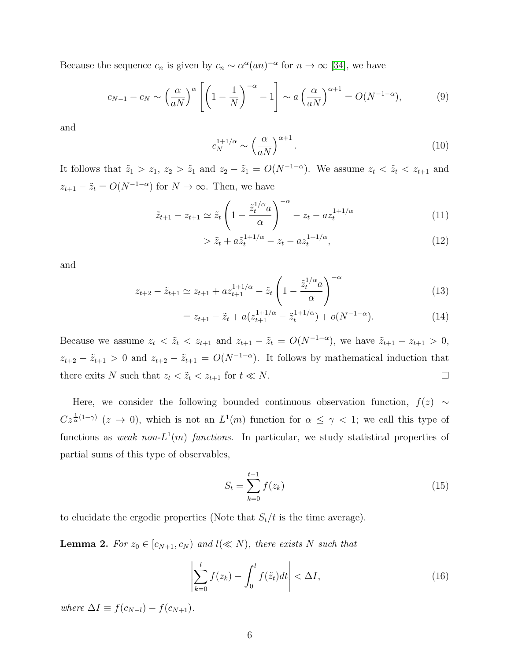Because the sequence  $c_n$  is given by  $c_n \sim \alpha^{\alpha}(an)^{-\alpha}$  for  $n \to \infty$  [\[34\]](#page-22-8), we have

$$
c_{N-1} - c_N \sim \left(\frac{\alpha}{aN}\right)^{\alpha} \left[ \left(1 - \frac{1}{N}\right)^{-\alpha} - 1 \right] \sim a \left(\frac{\alpha}{aN}\right)^{\alpha+1} = O(N^{-1-\alpha}),\tag{9}
$$

and

$$
c_N^{1+1/\alpha} \sim \left(\frac{\alpha}{aN}\right)^{\alpha+1}.\tag{10}
$$

It follows that  $\tilde{z}_1 > z_1$ ,  $z_2 > \tilde{z}_1$  and  $z_2 - \tilde{z}_1 = O(N^{-1-\alpha})$ . We assume  $z_t < \tilde{z}_t < z_{t+1}$  and  $z_{t+1} - \tilde{z}_t = O(N^{-1-\alpha})$  for  $N \to \infty$ . Then, we have

$$
\tilde{z}_{t+1} - z_{t+1} \simeq \tilde{z}_t \left( 1 - \frac{\tilde{z}_t^{1/\alpha} a}{\alpha} \right)^{-\alpha} - z_t - az_t^{1+1/\alpha} \tag{11}
$$

$$
> \tilde{z}_t + a\tilde{z}_t^{1+1/\alpha} - z_t - a z_t^{1+1/\alpha},\tag{12}
$$

and

$$
z_{t+2} - \tilde{z}_{t+1} \simeq z_{t+1} + az_{t+1}^{1+1/\alpha} - \tilde{z}_t \left( 1 - \frac{\tilde{z}_t^{1/\alpha} a}{\alpha} \right)^{-\alpha} \tag{13}
$$

$$
= z_{t+1} - \tilde{z}_t + a(z_{t+1}^{1+1/\alpha} - \tilde{z}_t^{1+1/\alpha}) + o(N^{-1-\alpha}).
$$
\n(14)

Because we assume  $z_t < \tilde{z}_t < z_{t+1}$  and  $z_{t+1} - \tilde{z}_t = O(N^{-1-\alpha})$ , we have  $\tilde{z}_{t+1} - z_{t+1} > 0$ ,  $z_{t+2} - \tilde{z}_{t+1} > 0$  and  $z_{t+2} - \tilde{z}_{t+1} = O(N^{-1-\alpha})$ . It follows by mathematical induction that there exits N such that  $z_t < \tilde{z}_t < z_{t+1}$  for  $t \ll N$ .  $\Box$ 

Here, we consider the following bounded continuous observation function,  $f(z) \sim$  $Cz^{\frac{1}{\alpha}(1-\gamma)}$  ( $z \to 0$ ), which is not an  $L^1(m)$  function for  $\alpha \leq \gamma < 1$ ; we call this type of functions as weak non- $L^1(m)$  functions. In particular, we study statistical properties of partial sums of this type of observables,

<span id="page-5-0"></span>
$$
S_t = \sum_{k=0}^{t-1} f(z_k)
$$
 (15)

to elucidate the ergodic properties (Note that  $S_t/t$  is the time average).

**Lemma 2.** For  $z_0 \in [c_{N+1}, c_N)$  and  $l(\ll N)$ , there exists N such that

$$
\left|\sum_{k=0}^{l} f(z_k) - \int_0^l f(\tilde{z}_t) dt\right| < \Delta I,
$$
\n(16)

where  $\Delta I \equiv f(c_{N-l}) - f(c_{N+1}).$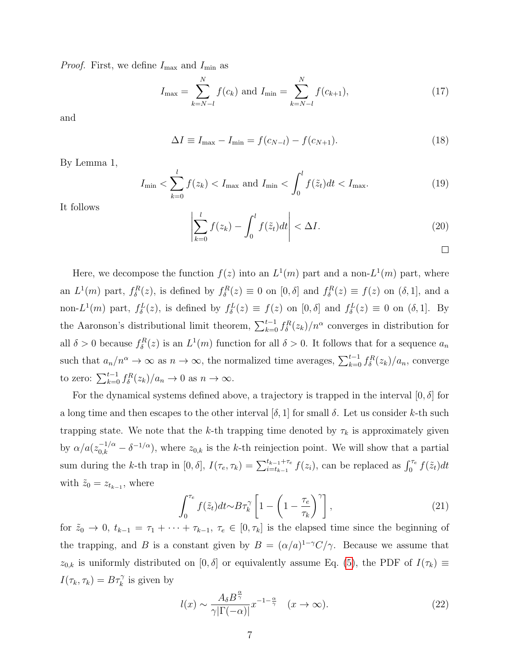*Proof.* First, we define  $I_{\text{max}}$  and  $I_{\text{min}}$  as

$$
I_{\max} = \sum_{k=N-l}^{N} f(c_k) \text{ and } I_{\min} = \sum_{k=N-l}^{N} f(c_{k+1}), \qquad (17)
$$

and

$$
\Delta I \equiv I_{\text{max}} - I_{\text{min}} = f(c_{N-l}) - f(c_{N+1}).
$$
\n(18)

By Lemma 1,

$$
I_{\min} < \sum_{k=0}^{l} f(z_k) < I_{\max}
$$
 and  $I_{\min} < \int_{0}^{l} f(\tilde{z}_t) dt < I_{\max}.$  (19)

It follows

$$
\left| \sum_{k=0}^{l} f(z_k) - \int_{0}^{l} f(\tilde{z}_t) dt \right| < \Delta I.
$$
\n(20)

Here, we decompose the function  $f(z)$  into an  $L^1(m)$  part and a non- $L^1(m)$  part, where an  $L^1(m)$  part,  $f_\delta^R(z)$ , is defined by  $f_\delta^R(z) \equiv 0$  on  $[0,\delta]$  and  $f_\delta^R(z) \equiv f(z)$  on  $(\delta,1]$ , and a non-L<sup>1</sup>(*m*) part,  $f_{\delta}^{L}(z)$ , is defined by  $f_{\delta}^{L}(z) \equiv f(z)$  on [0,  $\delta$ ] and  $f_{\delta}^{L}(z) \equiv 0$  on ( $\delta$ , 1]. By the Aaronson's distributional limit theorem,  $\sum_{k=0}^{t-1} f_{\delta}^{R}(z_k) / n^{\alpha}$  converges in distribution for all  $\delta > 0$  because  $f_{\delta}^{R}(z)$  is an  $L^{1}(m)$  function for all  $\delta > 0$ . It follows that for a sequence  $a_{n}$ such that  $a_n/n^{\alpha} \to \infty$  as  $n \to \infty$ , the normalized time averages,  $\sum_{k=0}^{t-1} f_{\delta}^{R}(z_k)/a_n$ , converge to zero:  $\sum_{k=0}^{t-1} f_{\delta}^{R}(z_k)/a_n \to 0$  as  $n \to \infty$ .

For the dynamical systems defined above, a trajectory is trapped in the interval  $[0, \delta]$  for a long time and then escapes to the other interval  $[\delta, 1]$  for small  $\delta$ . Let us consider k-th such trapping state. We note that the k-th trapping time denoted by  $\tau_k$  is approximately given by  $\alpha/a(z_{0,k}^{-1/\alpha} - \delta^{-1/\alpha})$ , where  $z_{0,k}$  is the k-th reinjection point. We will show that a partial sum during the k-th trap in  $[0, \delta]$ ,  $I(\tau_e, \tau_k) = \sum_{i=t_{k-1}}^{t_{k-1}+\tau_e} f(z_i)$ , can be replaced as  $\int_0^{\tau_e} f(\tilde{z}_t) dt$ with  $\tilde{z}_0 = z_{t_{k-1}}$ , where

<span id="page-6-0"></span>
$$
\int_0^{\tau_e} f(\tilde{z}_t) dt \sim B\tau_k^{\gamma} \left[ 1 - \left( 1 - \frac{\tau_e}{\tau_k} \right)^{\gamma} \right],\tag{21}
$$

for  $\tilde{z}_0 \to 0$ ,  $t_{k-1} = \tau_1 + \cdots + \tau_{k-1}$ ,  $\tau_e \in [0, \tau_k]$  is the elapsed time since the beginning of the trapping, and B is a constant given by  $B = (\alpha/a)^{1-\gamma}C/\gamma$ . Because we assume that  $z_{0,k}$  is uniformly distributed on [0,  $\delta$ ] or equivalently assume Eq. [\(5\)](#page-4-3), the PDF of  $I(\tau_k) \equiv$  $I(\tau_k, \tau_k) = B\tau_k^{\gamma}$  is given by

<span id="page-6-1"></span>
$$
l(x) \sim \frac{A_{\delta} B^{\frac{\alpha}{\gamma}}}{\gamma |\Gamma(-\alpha)|} x^{-1-\frac{\alpha}{\gamma}} \quad (x \to \infty).
$$
 (22)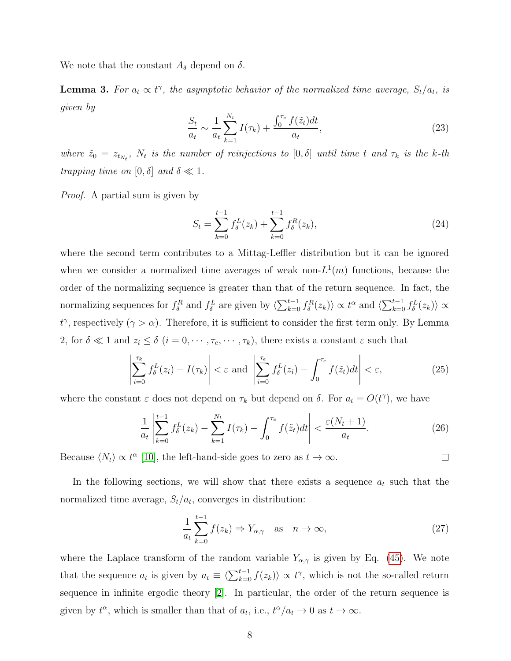We note that the constant  $A_{\delta}$  depend on  $\delta$ .

**Lemma 3.** For  $a_t \propto t^{\gamma}$ , the asymptotic behavior of the normalized time average,  $S_t/a_t$ , is given by

$$
\frac{S_t}{a_t} \sim \frac{1}{a_t} \sum_{k=1}^{N_t} I(\tau_k) + \frac{\int_0^{\tau_e} f(\tilde{z}_t) dt}{a_t},\tag{23}
$$

where  $\tilde{z}_0 = z_{t_{N_t}}$ ,  $N_t$  is the number of reinjections to  $[0, \delta]$  until time t and  $\tau_k$  is the k-th trapping time on  $[0, \delta]$  and  $\delta \ll 1$ .

Proof. A partial sum is given by

$$
S_t = \sum_{k=0}^{t-1} f_{\delta}^L(z_k) + \sum_{k=0}^{t-1} f_{\delta}^R(z_k),
$$
\n(24)

where the second term contributes to a Mittag-Leffler distribution but it can be ignored when we consider a normalized time averages of weak non- $L^1(m)$  functions, because the order of the normalizing sequence is greater than that of the return sequence. In fact, the normalizing sequences for  $f_{\delta}^R$  and  $f_{\delta}^L$  are given by  $\langle \sum_{k=0}^{t-1} f_{\delta}^R(z_k) \rangle \propto t^{\alpha}$  and  $\langle \sum_{k=0}^{t-1} f_{\delta}^L(z_k) \rangle \propto$  $t^{\gamma}$ , respectively (γ > α). Therefore, it is sufficient to consider the first term only. By Lemma 2, for  $\delta \ll 1$  and  $z_i \leq \delta$   $(i = 0, \dots, \tau_e, \dots, \tau_k)$ , there exists a constant  $\varepsilon$  such that

$$
\left| \sum_{i=0}^{\tau_k} f_{\delta}^L(z_i) - I(\tau_k) \right| < \varepsilon \text{ and } \left| \sum_{i=0}^{\tau_e} f_{\delta}^L(z_i) - \int_0^{\tau_e} f(\tilde{z}_t) dt \right| < \varepsilon,\tag{25}
$$

where the constant  $\varepsilon$  does not depend on  $\tau_k$  but depend on  $\delta$ . For  $a_t = O(t^{\gamma})$ , we have

$$
\frac{1}{a_t} \left| \sum_{k=0}^{t-1} f_{\delta}^L(z_k) - \sum_{k=1}^{N_t} I(\tau_k) - \int_0^{\tau_e} f(\tilde{z}_t) dt \right| < \frac{\varepsilon (N_t + 1)}{a_t}.\tag{26}
$$

Because  $\langle N_t \rangle \propto t^{\alpha}$  [\[10\]](#page-21-5), the left-hand-side goes to zero as  $t \to \infty$ .

In the following sections, we will show that there exists a sequence  $a_t$  such that the normalized time average,  $S_t/a_t$ , converges in distribution:

$$
\frac{1}{a_t} \sum_{k=0}^{t-1} f(z_k) \Rightarrow Y_{\alpha,\gamma} \quad \text{as} \quad n \to \infty,
$$
\n(27)

 $\Box$ 

where the Laplace transform of the random variable  $Y_{\alpha,\gamma}$  is given by Eq. [\(45\)](#page-12-0). We note that the sequence  $a_t$  is given by  $a_t \equiv \langle \sum_{k=0}^{t-1} f(z_k) \rangle \propto t^{\gamma}$ , which is not the so-called return sequence in infinite ergodic theory [\[2\]](#page-20-1). In particular, the order of the return sequence is given by  $t^{\alpha}$ , which is smaller than that of  $a_t$ , i.e.,  $t^{\alpha}/a_t \to 0$  as  $t \to \infty$ .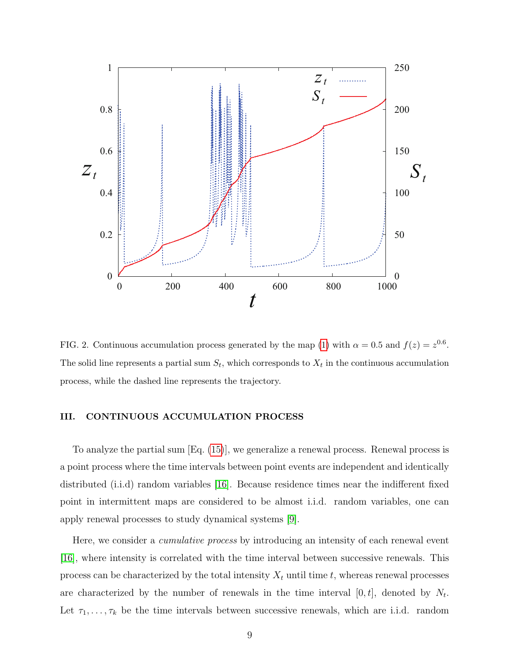

<span id="page-8-0"></span>FIG. 2. Continuous accumulation process generated by the map [\(1\)](#page-3-0) with  $\alpha = 0.5$  and  $f(z) = z^{0.6}$ . The solid line represents a partial sum  $S_t$ , which corresponds to  $X_t$  in the continuous accumulation process, while the dashed line represents the trajectory.

#### III. CONTINUOUS ACCUMULATION PROCESS

To analyze the partial sum [Eq. [\(15\)](#page-5-0)], we generalize a renewal process. Renewal process is a point process where the time intervals between point events are independent and identically distributed (i.i.d) random variables [\[16\]](#page-21-13). Because residence times near the indifferent fixed point in intermittent maps are considered to be almost i.i.d. random variables, one can apply renewal processes to study dynamical systems [\[9\]](#page-21-14).

Here, we consider a *cumulative process* by introducing an intensity of each renewal event [\[16\]](#page-21-13), where intensity is correlated with the time interval between successive renewals. This process can be characterized by the total intensity  $X_t$  until time t, whereas renewal processes are characterized by the number of renewals in the time interval  $[0, t]$ , denoted by  $N_t$ . Let  $\tau_1, \ldots, \tau_k$  be the time intervals between successive renewals, which are i.i.d. random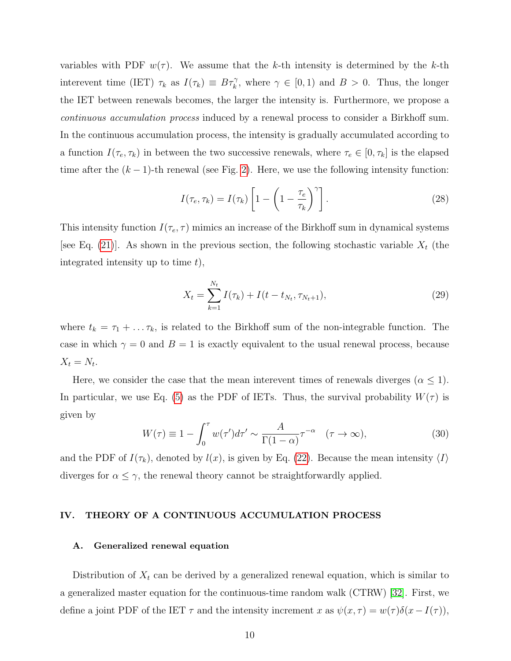variables with PDF  $w(\tau)$ . We assume that the k-th intensity is determined by the k-th interevent time (IET)  $\tau_k$  as  $I(\tau_k) \equiv B\tau_k^{\gamma}$ , where  $\gamma \in [0,1)$  and  $B > 0$ . Thus, the longer the IET between renewals becomes, the larger the intensity is. Furthermore, we propose a continuous accumulation process induced by a renewal process to consider a Birkhoff sum. In the continuous accumulation process, the intensity is gradually accumulated according to a function  $I(\tau_e, \tau_k)$  in between the two successive renewals, where  $\tau_e \in [0, \tau_k]$  is the elapsed time after the  $(k-1)$ -th renewal (see Fig. [2\)](#page-8-0). Here, we use the following intensity function:

$$
I(\tau_e, \tau_k) = I(\tau_k) \left[ 1 - \left( 1 - \frac{\tau_e}{\tau_k} \right)^{\gamma} \right]. \tag{28}
$$

This intensity function  $I(\tau_e, \tau)$  mimics an increase of the Birkhoff sum in dynamical systems [see Eq. [\(21\)](#page-6-0)]. As shown in the previous section, the following stochastic variable  $X_t$  (the integrated intensity up to time  $t$ ,

$$
X_t = \sum_{k=1}^{N_t} I(\tau_k) + I(t - t_{N_t}, \tau_{N_t+1}),
$$
\n(29)

where  $t_k = \tau_1 + \ldots + \tau_k$ , is related to the Birkhoff sum of the non-integrable function. The case in which  $\gamma = 0$  and  $B = 1$  is exactly equivalent to the usual renewal process, because  $X_t = N_t$ .

Here, we consider the case that the mean interevent times of renewals diverges ( $\alpha \leq 1$ ). In particular, we use Eq. [\(5\)](#page-4-3) as the PDF of IETs. Thus, the survival probability  $W(\tau)$  is given by

$$
W(\tau) \equiv 1 - \int_0^{\tau} w(\tau') d\tau' \sim \frac{A}{\Gamma(1-\alpha)} \tau^{-\alpha} \quad (\tau \to \infty), \tag{30}
$$

and the PDF of  $I(\tau_k)$ , denoted by  $l(x)$ , is given by Eq. [\(22\)](#page-6-1). Because the mean intensity  $\langle I \rangle$ diverges for  $\alpha \leq \gamma$ , the renewal theory cannot be straightforwardly applied.

#### IV. THEORY OF A CONTINUOUS ACCUMULATION PROCESS

#### A. Generalized renewal equation

Distribution of  $X_t$  can be derived by a generalized renewal equation, which is similar to a generalized master equation for the continuous-time random walk (CTRW) [\[32\]](#page-22-10). First, we define a joint PDF of the IET  $\tau$  and the intensity increment x as  $\psi(x,\tau) = w(\tau)\delta(x-I(\tau)),$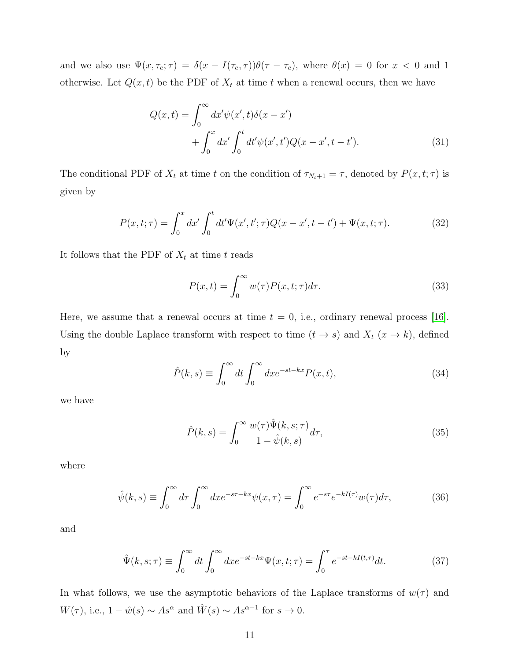and we also use  $\Psi(x, \tau_e; \tau) = \delta(x - I(\tau_e, \tau))\theta(\tau - \tau_e)$ , where  $\theta(x) = 0$  for  $x < 0$  and 1 otherwise. Let  $Q(x, t)$  be the PDF of  $X_t$  at time t when a renewal occurs, then we have

$$
Q(x,t) = \int_0^\infty dx' \psi(x',t) \delta(x-x') + \int_0^x dx' \int_0^t dt' \psi(x',t') Q(x-x',t-t').
$$
 (31)

The conditional PDF of  $X_t$  at time t on the condition of  $\tau_{N_t+1} = \tau$ , denoted by  $P(x, t; \tau)$  is given by

$$
P(x,t;\tau) = \int_0^x dx' \int_0^t dt' \Psi(x',t';\tau) Q(x-x',t-t') + \Psi(x,t;\tau). \tag{32}
$$

It follows that the PDF of  $X_t$  at time t reads

$$
P(x,t) = \int_0^\infty w(\tau)P(x,t;\tau)d\tau.
$$
\n(33)

Here, we assume that a renewal occurs at time  $t = 0$ , i.e., ordinary renewal process [\[16\]](#page-21-13). Using the double Laplace transform with respect to time  $(t \to s)$  and  $X_t$   $(x \to k)$ , defined by

$$
\hat{P}(k,s) \equiv \int_0^\infty dt \int_0^\infty dx e^{-st-kx} P(x,t),\tag{34}
$$

we have

$$
\hat{P}(k,s) = \int_0^\infty \frac{w(\tau)\hat{\Psi}(k,s;\tau)}{1-\hat{\psi}(k,s)}d\tau,\tag{35}
$$

where

$$
\hat{\psi}(k,s) \equiv \int_0^\infty d\tau \int_0^\infty dx e^{-s\tau - kx} \psi(x,\tau) = \int_0^\infty e^{-s\tau} e^{-kI(\tau)} w(\tau) d\tau,\tag{36}
$$

and

$$
\hat{\Psi}(k,s;\tau) \equiv \int_0^\infty dt \int_0^\infty dx e^{-st-kx} \Psi(x,t;\tau) = \int_0^\tau e^{-st-kI(t,\tau)} dt. \tag{37}
$$

In what follows, we use the asymptotic behaviors of the Laplace transforms of  $w(\tau)$  and  $W(\tau)$ , i.e.,  $1 - \hat{w}(s) \sim As^{\alpha}$  and  $\hat{W}(s) \sim As^{\alpha-1}$  for  $s \to 0$ .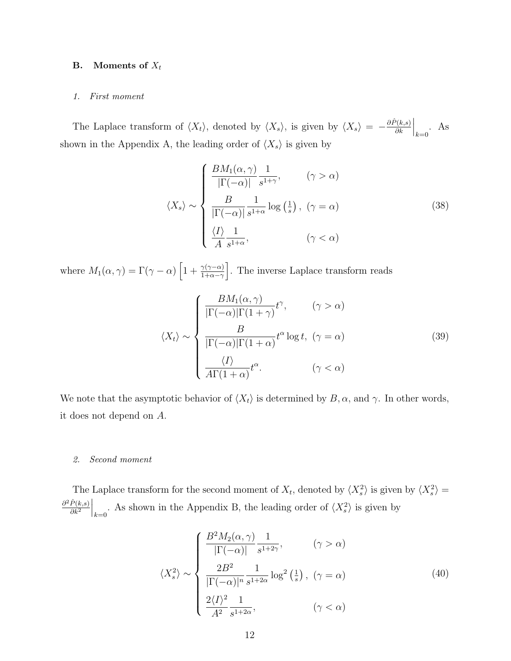### **B.** Moments of  $X_t$

#### 1. First moment

The Laplace transform of  $\langle X_t \rangle$ , denoted by  $\langle X_s \rangle$ , is given by  $\langle X_s \rangle = -\frac{\partial \hat{P}(k,s)}{\partial k}$ ∂k  $\Big|_{k=0}$ . As shown in the Appendix A, the leading order of  $\langle X_s \rangle$  is given by

$$
\langle X_s \rangle \sim \begin{cases} \frac{BM_1(\alpha, \gamma)}{|\Gamma(-\alpha)|} \frac{1}{s^{1+\gamma}}, & (\gamma > \alpha) \\ \frac{B}{|\Gamma(-\alpha)|} \frac{1}{s^{1+\alpha}} \log\left(\frac{1}{s}\right), & (\gamma = \alpha) \\ \frac{\langle I \rangle}{A} \frac{1}{s^{1+\alpha}}, & (\gamma < \alpha) \end{cases}
$$
(38)

where  $M_1(\alpha, \gamma) = \Gamma(\gamma - \alpha) \left[1 + \frac{\gamma(\gamma - \alpha)}{1 + \alpha - \gamma}\right]$ . The inverse Laplace transform reads

<span id="page-11-0"></span>
$$
\langle X_t \rangle \sim \begin{cases} \frac{BM_1(\alpha, \gamma)}{|\Gamma(-\alpha)|\Gamma(1+\gamma)} t^{\gamma}, & (\gamma > \alpha) \\ \frac{B}{|\Gamma(-\alpha)|\Gamma(1+\alpha)} t^{\alpha} \log t, & (\gamma = \alpha) \\ \frac{\langle I \rangle}{A\Gamma(1+\alpha)} t^{\alpha}. & (\gamma < \alpha) \end{cases}
$$
(39)

We note that the asymptotic behavior of  $\langle X_t \rangle$  is determined by  $B, \alpha$ , and  $\gamma$ . In other words, it does not depend on A.

#### 2. Second moment

The Laplace transform for the second moment of  $X_t$ , denoted by  $\langle X_s^2 \rangle$  is given by  $\langle X_s^2 \rangle =$  $\partial^2 \hat{P}(k,s)$  $\overline{\partial k^2}$  $\Big|_{k=0}$ . As shown in the Appendix B, the leading order of  $\langle X_s^2 \rangle$  is given by

$$
\langle X_s^2 \rangle \sim \begin{cases} \frac{B^2 M_2(\alpha, \gamma)}{|\Gamma(-\alpha)|} \frac{1}{s^{1+2\gamma}}, & (\gamma > \alpha) \\ \frac{2B^2}{|\Gamma(-\alpha)|^n} \frac{1}{s^{1+2\alpha}} \log^2\left(\frac{1}{s}\right), & (\gamma = \alpha) \\ \frac{2\langle I \rangle^2}{A^2} \frac{1}{s^{1+2\alpha}}, & (\gamma < \alpha) \end{cases}
$$
(40)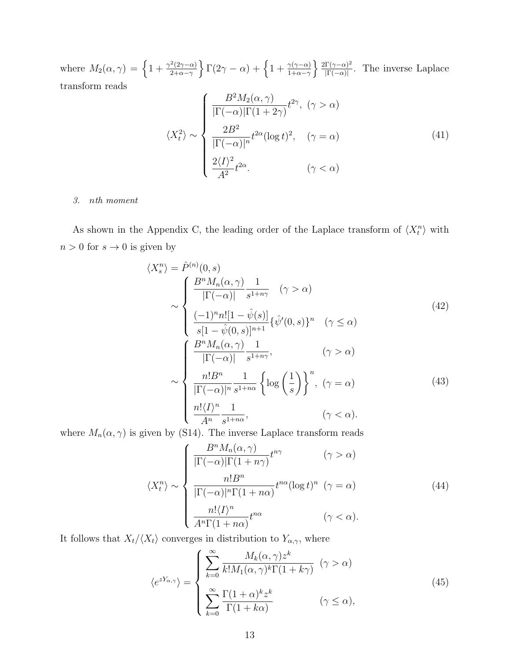where  $M_2(\alpha, \gamma) = \left\{1 + \frac{\gamma^2 (2\gamma - \alpha)}{2 + \alpha - \gamma}\right\}$  $\frac{2(2\gamma-\alpha)}{2+\alpha-\gamma}\bigg\}\Gamma(2\gamma-\alpha)+\bigg\{1+\frac{\gamma(\gamma-\alpha)}{1+\alpha-\gamma}\bigg\}\frac{2\Gamma(\gamma-\alpha)^2}{|\Gamma(-\alpha)|}$  $\frac{\Gamma(\gamma-\alpha)^2}{\Gamma(-\alpha)}$ . The inverse Laplace transform reads

<span id="page-12-2"></span>
$$
\langle X_t^2 \rangle \sim \begin{cases} \frac{B^2 M_2(\alpha, \gamma)}{|\Gamma(-\alpha)| \Gamma(1+2\gamma)} t^{2\gamma}, \ (\gamma > \alpha) \\ \frac{2B^2}{|\Gamma(-\alpha)|^n} t^{2\alpha} (\log t)^2, \quad (\gamma = \alpha) \\ \frac{2\langle I \rangle^2}{A^2} t^{2\alpha}. \qquad (\gamma < \alpha) \end{cases}
$$
(41)

#### 3. nth moment

As shown in the Appendix C, the leading order of the Laplace transform of  $\langle X_t^n \rangle$  with  $n > 0$  for  $s \to 0$  is given by

$$
\langle X_s^n \rangle = \hat{P}^{(n)}(0, s)
$$
  
\n
$$
\sim \begin{cases}\n\frac{B^n M_n(\alpha, \gamma)}{|\Gamma(-\alpha)|} \frac{1}{s^{1+n\gamma}} & (\gamma > \alpha) \\
\frac{(-1)^n n! [1 - \hat{\psi}(s)]}{s[1 - \hat{\psi}(0, s)]^{n+1}} {\hat{\psi}'(0, s)}^n & (\gamma \le \alpha)\n\end{cases}
$$
\n
$$
\sim \begin{cases}\n\frac{B^n M_n(\alpha, \gamma)}{|\Gamma(-\alpha)|} \frac{1}{s^{1+n\gamma}}, & (\gamma > \alpha) \\
\frac{n! B^n}{|\Gamma(-\alpha)|} \frac{1}{s^{1+n\alpha}} \left\{ \log \left(\frac{1}{s}\right) \right\}^n, & (\gamma = \alpha) \\
\frac{n! \langle I \rangle^n}{A^n} \frac{1}{s^{1+n\alpha}}, & (\gamma < \alpha).\n\end{cases}
$$
\n(43)

where  $M_n(\alpha, \gamma)$  is given by (S14). The inverse Laplace transform reads

<span id="page-12-1"></span>
$$
\langle X_t^n \rangle \sim \begin{cases} \frac{B^n M_n(\alpha, \gamma)}{|\Gamma(-\alpha)| \Gamma(1+n\gamma)} t^{n\gamma} & (\gamma > \alpha) \\ \frac{n! B^n}{|\Gamma(-\alpha)|^n \Gamma(1+n\alpha)} t^{n\alpha} (\log t)^n & (\gamma = \alpha) \\ \frac{n! \langle I \rangle^n}{A^n \Gamma(1+n\alpha)} t^{n\alpha} & (\gamma < \alpha). \end{cases}
$$
(44)

It follows that  $X_t/\langle X_t \rangle$  converges in distribution to  $Y_{\alpha,\gamma}$ , where

<span id="page-12-0"></span>
$$
\langle e^{zY_{\alpha,\gamma}} \rangle = \begin{cases} \sum_{k=0}^{\infty} \frac{M_k(\alpha,\gamma)z^k}{k!M_1(\alpha,\gamma)^k \Gamma(1+k\gamma)} & (\gamma > \alpha) \\ \sum_{k=0}^{\infty} \frac{\Gamma(1+\alpha)^k z^k}{\Gamma(1+k\alpha)} & (\gamma \le \alpha), \end{cases}
$$
(45)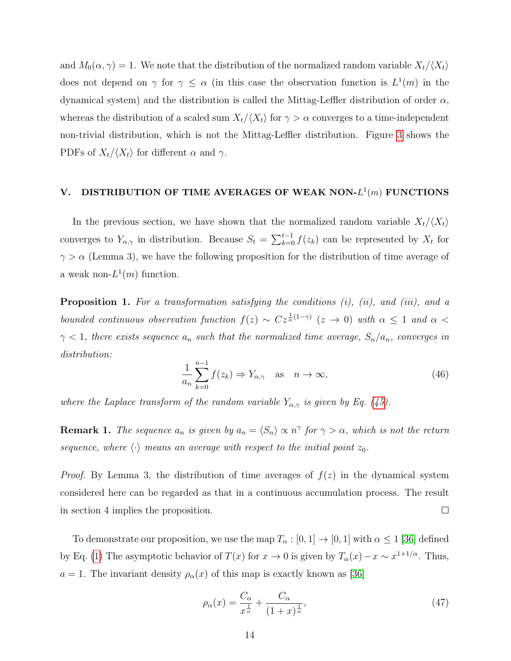and  $M_0(\alpha, \gamma) = 1$ . We note that the distribution of the normalized random variable  $X_t/\langle X_t \rangle$ does not depend on  $\gamma$  for  $\gamma \leq \alpha$  (in this case the observation function is  $L^1(m)$  in the dynamical system) and the distribution is called the Mittag-Leffler distribution of order  $\alpha$ , whereas the distribution of a scaled sum  $X_t/\langle X_t \rangle$  for  $\gamma > \alpha$  converges to a time-independent non-trivial distribution, which is not the Mittag-Leffler distribution. Figure [3](#page-14-0) shows the PDFs of  $X_t/\langle X_t \rangle$  for different  $\alpha$  and  $\gamma$ .

# V. DISTRIBUTION OF TIME AVERAGES OF WEAK NON- $L^1(m)$  FUNCTIONS

In the previous section, we have shown that the normalized random variable  $X_t/\langle X_t\rangle$ converges to  $Y_{\alpha,\gamma}$  in distribution. Because  $S_t = \sum_{k=0}^{t-1} f(z_k)$  can be represented by  $X_t$  for  $\gamma > \alpha$  (Lemma 3), we have the following proposition for the distribution of time average of a weak non- $L^1(m)$  function.

**Proposition 1.** For a transformation satisfying the conditions  $(i)$ ,  $(ii)$ , and  $(iii)$ , and a bounded continuous observation function  $f(z) \sim C z^{\frac{1}{\alpha}(1-\gamma)}$   $(z \to 0)$  with  $\alpha \leq 1$  and  $\alpha$  $\gamma$  < 1, there exists sequence  $a_n$  such that the normalized time average,  $S_n/a_n$ , converges in distribution:

$$
\frac{1}{a_n} \sum_{k=0}^{n-1} f(z_k) \Rightarrow Y_{\alpha,\gamma} \quad \text{as} \quad n \to \infty,
$$
\n(46)

where the Laplace transform of the random variable  $Y_{\alpha,\gamma}$  is given by Eq. [\(45\)](#page-12-0).

**Remark 1.** The sequence  $a_n$  is given by  $a_n = \langle S_n \rangle \propto n^{\gamma}$  for  $\gamma > \alpha$ , which is not the return sequence, where  $\langle \cdot \rangle$  means an average with respect to the initial point  $z_0$ .

*Proof.* By Lemma 3, the distribution of time averages of  $f(z)$  in the dynamical system considered here can be regarded as that in a continuous accumulation process. The result in section 4 implies the proposition.  $\Box$ 

To demonstrate our proposition, we use the map  $T_{\alpha} : [0, 1] \to [0, 1]$  with  $\alpha \leq 1$  [\[36\]](#page-22-11) defined by Eq. [\(1\)](#page-3-0) The asymptotic behavior of  $T(x)$  for  $x \to 0$  is given by  $T_\alpha(x) - x \sim x^{1+1/\alpha}$ . Thus,  $a = 1$ . The invariant density  $\rho_{\alpha}(x)$  of this map is exactly known as [\[36\]](#page-22-11)

$$
\rho_{\alpha}(x) = \frac{C_{\alpha}}{x^{\frac{1}{\alpha}}} + \frac{C_{\alpha}}{(1+x)^{\frac{1}{\alpha}}},\tag{47}
$$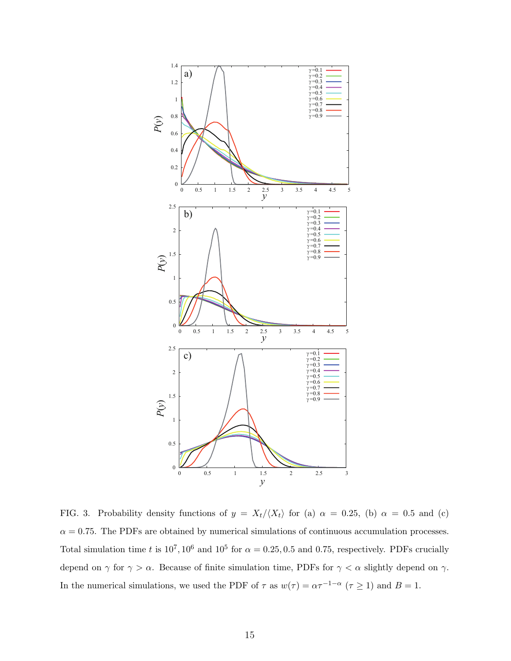

<span id="page-14-0"></span>FIG. 3. Probability density functions of  $y = X_t/\langle X_t \rangle$  for (a)  $\alpha = 0.25$ , (b)  $\alpha = 0.5$  and (c)  $\alpha = 0.75$ . The PDFs are obtained by numerical simulations of continuous accumulation processes. Total simulation time t is  $10^7, 10^6$  and  $10^5$  for  $\alpha = 0.25, 0.5$  and 0.75, respectively. PDFs crucially depend on  $\gamma$  for  $\gamma > \alpha$ . Because of finite simulation time, PDFs for  $\gamma < \alpha$  slightly depend on  $\gamma$ . In the numerical simulations, we used the PDF of  $\tau$  as  $w(\tau) = \alpha \tau^{-1-\alpha}$   $(\tau \ge 1)$  and  $B = 1$ .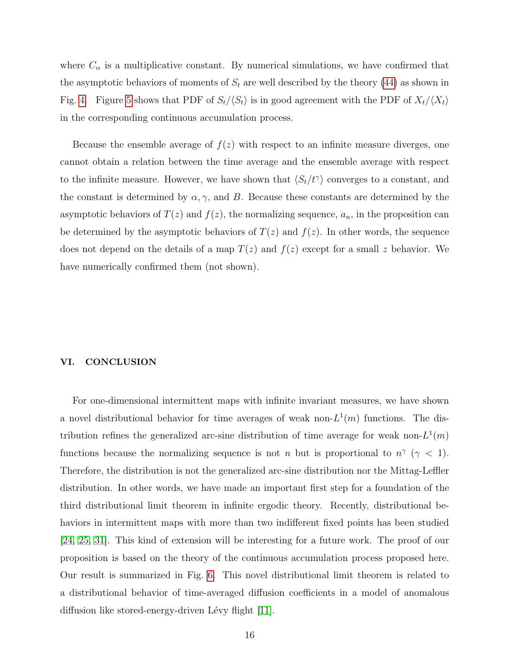where  $C_{\alpha}$  is a multiplicative constant. By numerical simulations, we have confirmed that the asymptotic behaviors of moments of  $S_t$  are well described by the theory [\(44\)](#page-12-1) as shown in Fig. [4.](#page-16-0) Figure [5](#page-17-0) shows that PDF of  $S_t/\langle S_t \rangle$  is in good agreement with the PDF of  $X_t/\langle X_t \rangle$ in the corresponding continuous accumulation process.

Because the ensemble average of  $f(z)$  with respect to an infinite measure diverges, one cannot obtain a relation between the time average and the ensemble average with respect to the infinite measure. However, we have shown that  $\langle S_t/t^{\gamma} \rangle$  converges to a constant, and the constant is determined by  $\alpha, \gamma$ , and B. Because these constants are determined by the asymptotic behaviors of  $T(z)$  and  $f(z)$ , the normalizing sequence,  $a_n$ , in the proposition can be determined by the asymptotic behaviors of  $T(z)$  and  $f(z)$ . In other words, the sequence does not depend on the details of a map  $T(z)$  and  $f(z)$  except for a small z behavior. We have numerically confirmed them (not shown).

#### VI. CONCLUSION

For one-dimensional intermittent maps with infinite invariant measures, we have shown a novel distributional behavior for time averages of weak non- $L^1(m)$  functions. The distribution refines the generalized arc-sine distribution of time average for weak non- $L^1(m)$ functions because the normalizing sequence is not n but is proportional to  $n^{\gamma}$  ( $\gamma$  < 1). Therefore, the distribution is not the generalized arc-sine distribution nor the Mittag-Leffler distribution. In other words, we have made an important first step for a foundation of the third distributional limit theorem in infinite ergodic theory. Recently, distributional behaviors in intermittent maps with more than two indifferent fixed points has been studied [\[24,](#page-22-12) [25,](#page-22-13) [31\]](#page-22-14). This kind of extension will be interesting for a future work. The proof of our proposition is based on the theory of the continuous accumulation process proposed here. Our result is summarized in Fig. [6.](#page-17-1) This novel distributional limit theorem is related to a distributional behavior of time-averaged diffusion coefficients in a model of anomalous diffusion like stored-energy-driven Lévy flight [\[11\]](#page-21-10).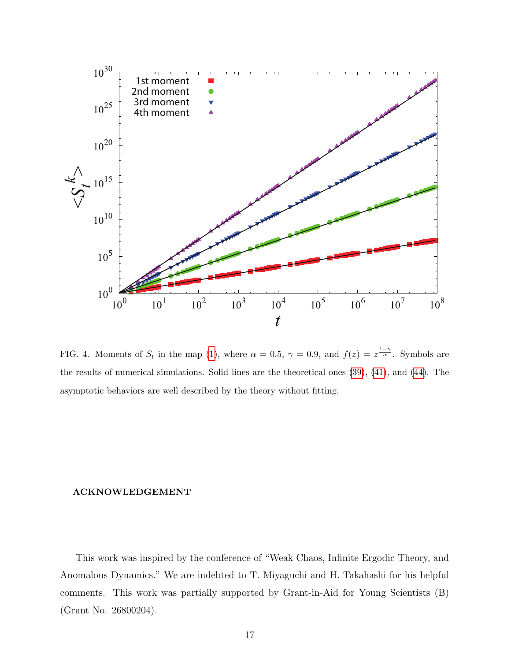

<span id="page-16-0"></span>FIG. 4. Moments of  $S_t$  in the map [\(1\)](#page-3-0), where  $\alpha = 0.5$ ,  $\gamma = 0.9$ , and  $f(z) = z^{\frac{1-\gamma}{\alpha}}$ . Symbols are the results of numerical simulations. Solid lines are the theoretical ones [\(39\)](#page-11-0), [\(41\)](#page-12-2), and [\(44\)](#page-12-1). The asymptotic behaviors are well described by the theory without fitting.

#### ACKNOWLEDGEMENT

This work was inspired by the conference of "Weak Chaos, Infinite Ergodic Theory, and Anomalous Dynamics." We are indebted to T. Miyaguchi and H. Takahashi for his helpful comments. This work was partially supported by Grant-in-Aid for Young Scientists (B) (Grant No. 26800204).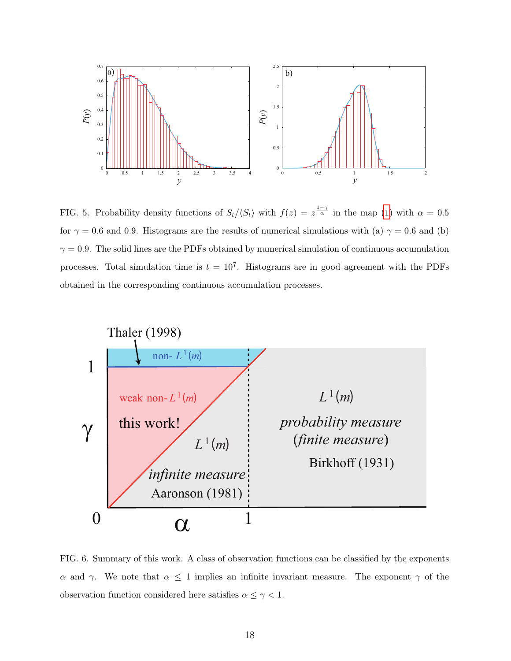

<span id="page-17-0"></span>FIG. 5. Probability density functions of  $S_t/\langle S_t \rangle$  with  $f(z) = z^{\frac{1-\gamma}{\alpha}}$  in the map [\(1\)](#page-3-0) with  $\alpha = 0.5$ for  $\gamma = 0.6$  and 0.9. Histograms are the results of numerical simulations with (a)  $\gamma = 0.6$  and (b)  $\gamma = 0.9$ . The solid lines are the PDFs obtained by numerical simulation of continuous accumulation processes. Total simulation time is  $t = 10^7$ . Histograms are in good agreement with the PDFs obtained in the corresponding continuous accumulation processes.



<span id="page-17-1"></span>FIG. 6. Summary of this work. A class of observation functions can be classified by the exponents α and γ. We note that  $\alpha \leq 1$  implies an infinite invariant measure. The exponent γ of the observation function considered here satisfies  $\alpha \leq \gamma < 1$ .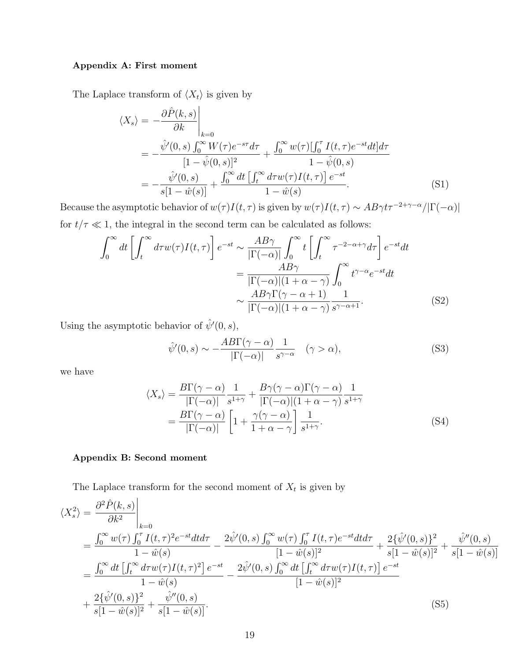# Appendix A: First moment

The Laplace transform of  $\langle X_t \rangle$  is given by

$$
\langle X_s \rangle = -\frac{\partial \hat{P}(k, s)}{\partial k} \Big|_{k=0}
$$
  
=  $-\frac{\hat{\psi}'(0, s) \int_0^\infty W(\tau) e^{-s\tau} d\tau}{[1 - \hat{\psi}(0, s)]^2} + \frac{\int_0^\infty w(\tau) [\int_0^\tau I(t, \tau) e^{-st} dt] d\tau}{1 - \hat{\psi}(0, s)} - \frac{\hat{\psi}'(0, s)}{s[1 - \hat{w}(s)]} + \frac{\int_0^\infty dt \left[ \int_t^\infty d\tau w(\tau) I(t, \tau) \right] e^{-st}}{1 - \hat{w}(s)}.$  (S1)

Because the asymptotic behavior of  $w(\tau)I(t, \tau)$  is given by  $w(\tau)I(t, \tau) \sim AB\gamma t \tau^{-2+\gamma-\alpha}/|\Gamma(-\alpha)|$ for  $t/\tau \ll 1$ , the integral in the second term can be calculated as follows:

$$
\int_0^\infty dt \left[ \int_t^\infty d\tau w(\tau) I(t, \tau) \right] e^{-st} \sim \frac{AB\gamma}{|\Gamma(-\alpha)|} \int_0^\infty t \left[ \int_t^\infty \tau^{-2-\alpha+\gamma} d\tau \right] e^{-st} dt
$$

$$
= \frac{AB\gamma}{|\Gamma(-\alpha)|(1+\alpha-\gamma)} \int_0^\infty t^{\gamma-\alpha} e^{-st} dt
$$

$$
\sim \frac{AB\gamma \Gamma(\gamma-\alpha+1)}{|\Gamma(-\alpha)|(1+\alpha-\gamma)} \frac{1}{s^{\gamma-\alpha+1}}.
$$
(S2)

Using the asymptotic behavior of  $\hat{\psi}'(0, s)$ ,

$$
\hat{\psi}'(0,s) \sim -\frac{AB\Gamma(\gamma - \alpha)}{|\Gamma(-\alpha)|} \frac{1}{s^{\gamma - \alpha}} \quad (\gamma > \alpha), \tag{S3}
$$

we have

$$
\langle X_s \rangle = \frac{B\Gamma(\gamma - \alpha)}{|\Gamma(-\alpha)|} \frac{1}{s^{1+\gamma}} + \frac{B\gamma(\gamma - \alpha)\Gamma(\gamma - \alpha)}{|\Gamma(-\alpha)|(1 + \alpha - \gamma)} \frac{1}{s^{1+\gamma}}
$$
  
= 
$$
\frac{B\Gamma(\gamma - \alpha)}{|\Gamma(-\alpha)|} \left[1 + \frac{\gamma(\gamma - \alpha)}{1 + \alpha - \gamma}\right] \frac{1}{s^{1+\gamma}}.
$$
 (S4)

#### Appendix B: Second moment

The Laplace transform for the second moment of  $X_t$  is given by

$$
\langle X_s^2 \rangle = \frac{\partial^2 \hat{P}(k,s)}{\partial k^2} \Big|_{k=0}
$$
  
= 
$$
\frac{\int_0^\infty w(\tau) \int_0^\tau I(t,\tau)^2 e^{-st} dt d\tau}{1 - \hat{w}(s)} - \frac{2 \hat{\psi}'(0,s) \int_0^\infty w(\tau) \int_0^\tau I(t,\tau) e^{-st} dt d\tau}{[1 - \hat{w}(s)]^2} + \frac{2 \{\hat{\psi}'(0,s)\}^2}{s[1 - \hat{w}(s)]^2} + \frac{\hat{\psi}''(0,s)}{s[1 - \hat{w}(s)]^2}
$$
  
= 
$$
\frac{\int_0^\infty dt \left[ \int_t^\infty d\tau w(\tau) I(t,\tau)^2 \right] e^{-st}}{1 - \hat{w}(s)} - \frac{2 \hat{\psi}'(0,s) \int_0^\infty dt \left[ \int_t^\infty d\tau w(\tau) I(t,\tau) \right] e^{-st}}{[1 - \hat{w}(s)]^2}
$$
  
+ 
$$
\frac{2 \{\hat{\psi}'(0,s)\}^2}{s[1 - \hat{w}(s)]^2} + \frac{\hat{\psi}''(0,s)}{s[1 - \hat{w}(s)]}.
$$
 (S5)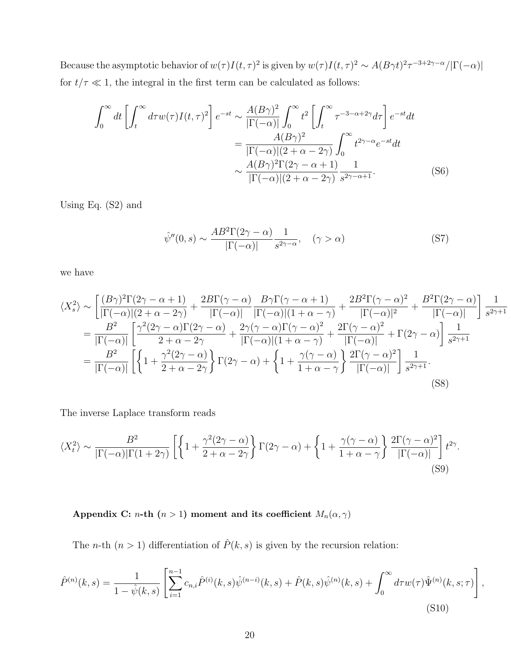Because the asymptotic behavior of  $w(\tau)I(t, \tau)^2$  is given by  $w(\tau)I(t, \tau)^2 \sim A(B\gamma t)^2 \tau^{-3+2\gamma-\alpha}/|\Gamma(-\alpha)|$ for  $t/\tau \ll 1$ , the integral in the first term can be calculated as follows:

$$
\int_0^\infty dt \left[ \int_t^\infty d\tau w(\tau) I(t,\tau)^2 \right] e^{-st} \sim \frac{A(B\gamma)^2}{|\Gamma(-\alpha)|} \int_0^\infty t^2 \left[ \int_t^\infty \tau^{-3-\alpha+2\gamma} d\tau \right] e^{-st} dt
$$

$$
= \frac{A(B\gamma)^2}{|\Gamma(-\alpha)|(2+\alpha-2\gamma)} \int_0^\infty t^{2\gamma-\alpha} e^{-st} dt
$$

$$
\sim \frac{A(B\gamma)^2 \Gamma(2\gamma-\alpha+1)}{|\Gamma(-\alpha)|(2+\alpha-2\gamma)} \frac{1}{s^{2\gamma-\alpha+1}}.
$$
(S6)

Using Eq. (S2) and

$$
\hat{\psi}''(0,s) \sim \frac{AB^2 \Gamma(2\gamma - \alpha)}{|\Gamma(-\alpha)|} \frac{1}{s^{2\gamma - \alpha}}, \quad (\gamma > \alpha)
$$
\n(S7)

we have

$$
\langle X_s^2 \rangle \sim \left[ \frac{(B\gamma)^2 \Gamma(2\gamma - \alpha + 1)}{|\Gamma(-\alpha)|(2 + \alpha - 2\gamma)} + \frac{2B\Gamma(\gamma - \alpha)}{|\Gamma(-\alpha)|} \frac{B\gamma \Gamma(\gamma - \alpha + 1)}{|\Gamma(-\alpha)|(1 + \alpha - \gamma)} + \frac{2B^2 \Gamma(\gamma - \alpha)^2}{|\Gamma(-\alpha)|^2} + \frac{B^2 \Gamma(2\gamma - \alpha)}{|\Gamma(-\alpha)|} \right] \frac{1}{s^{2\gamma + 1}}
$$
  
\n
$$
= \frac{B^2}{|\Gamma(-\alpha)|} \left[ \frac{\gamma^2 (2\gamma - \alpha) \Gamma(2\gamma - \alpha)}{2 + \alpha - 2\gamma} + \frac{2\gamma (\gamma - \alpha) \Gamma(\gamma - \alpha)^2}{|\Gamma(-\alpha)|(1 + \alpha - \gamma)} + \frac{2\Gamma(\gamma - \alpha)^2}{|\Gamma(-\alpha)|} + \Gamma(2\gamma - \alpha) \right] \frac{1}{s^{2\gamma + 1}}
$$
  
\n
$$
= \frac{B^2}{|\Gamma(-\alpha)|} \left[ \left\{ 1 + \frac{\gamma^2 (2\gamma - \alpha)}{2 + \alpha - 2\gamma} \right\} \Gamma(2\gamma - \alpha) + \left\{ 1 + \frac{\gamma (\gamma - \alpha)}{1 + \alpha - \gamma} \right\} \frac{2\Gamma(\gamma - \alpha)^2}{|\Gamma(-\alpha)|} \right] \frac{1}{s^{2\gamma + 1}}.
$$
\n(S8)

The inverse Laplace transform reads

$$
\langle X_t^2 \rangle \sim \frac{B^2}{|\Gamma(-\alpha)|\Gamma(1+2\gamma)} \left[ \left\{ 1 + \frac{\gamma^2 (2\gamma - \alpha)}{2 + \alpha - 2\gamma} \right\} \Gamma(2\gamma - \alpha) + \left\{ 1 + \frac{\gamma (\gamma - \alpha)}{1 + \alpha - \gamma} \right\} \frac{2\Gamma(\gamma - \alpha)^2}{|\Gamma(-\alpha)|} \right] t^{2\gamma}.
$$
\n(S9)

Appendix C: *n*-th (*n* > 1) moment and its coefficient  $M_n(\alpha, \gamma)$ 

The *n*-th  $(n > 1)$  differentiation of  $\hat{P}(k, s)$  is given by the recursion relation:

$$
\hat{P}^{(n)}(k,s) = \frac{1}{1 - \hat{\psi}(k,s)} \left[ \sum_{i=1}^{n-1} c_{n,i} \hat{P}^{(i)}(k,s) \hat{\psi}^{(n-i)}(k,s) + \hat{P}(k,s) \hat{\psi}^{(n)}(k,s) + \int_0^\infty d\tau w(\tau) \hat{\Psi}^{(n)}(k,s;\tau) \right],
$$
\n(S10)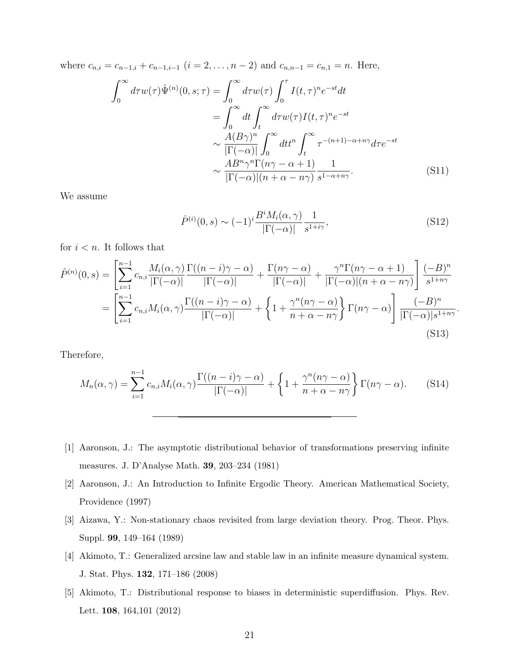where  $c_{n,i} = c_{n-1,i} + c_{n-1,i-1}$   $(i = 2, \ldots, n-2)$  and  $c_{n,n-1} = c_{n,1} = n$ . Here,

$$
\int_0^\infty d\tau w(\tau)\hat{\Psi}^{(n)}(0,s;\tau) = \int_0^\infty d\tau w(\tau) \int_0^\tau I(t,\tau)^n e^{-st} dt
$$

$$
= \int_0^\infty dt \int_t^\infty d\tau w(\tau) I(t,\tau)^n e^{-st}
$$

$$
\sim \frac{A(B\gamma)^n}{|\Gamma(-\alpha)|} \int_0^\infty dt^n \int_t^\infty \tau^{-(n+1)-\alpha+n\gamma} d\tau e^{-st}
$$

$$
\sim \frac{AB^n \gamma^n \Gamma(n\gamma - \alpha + 1)}{|\Gamma(-\alpha)| (n + \alpha - n\gamma)} \frac{1}{s^{1-\alpha+n\gamma}}.
$$
(S11)

We assume

$$
\hat{P}^{(i)}(0,s) \sim (-1)^i \frac{B^i M_i(\alpha,\gamma)}{|\Gamma(-\alpha)|} \frac{1}{s^{1+i\gamma}},\tag{S12}
$$

.

for  $i < n$ . It follows that

$$
\hat{P}^{(n)}(0,s) = \left[\sum_{i=1}^{n-1} c_{n,i} \frac{M_i(\alpha,\gamma)}{|\Gamma(-\alpha)|} \frac{\Gamma((n-i)\gamma - \alpha)}{|\Gamma(-\alpha)|} + \frac{\Gamma(n\gamma - \alpha)}{|\Gamma(-\alpha)|} + \frac{\gamma^n \Gamma(n\gamma - \alpha + 1)}{|\Gamma(-\alpha)| (n + \alpha - n\gamma)}\right] \frac{(-B)^n}{s^{1+n\gamma}}
$$

$$
= \left[\sum_{i=1}^{n-1} c_{n,i} M_i(\alpha,\gamma) \frac{\Gamma((n-i)\gamma - \alpha)}{|\Gamma(-\alpha)|} + \left\{1 + \frac{\gamma^n (n\gamma - \alpha)}{n + \alpha - n\gamma}\right\} \Gamma(n\gamma - \alpha)\right] \frac{(-B)^n}{|\Gamma(-\alpha)|s^{1+n\gamma}}
$$
(S13)

Therefore,

$$
M_n(\alpha, \gamma) = \sum_{i=1}^{n-1} c_{n,i} M_i(\alpha, \gamma) \frac{\Gamma((n-i)\gamma - \alpha)}{|\Gamma(-\alpha)|} + \left\{ 1 + \frac{\gamma^n(n\gamma - \alpha)}{n + \alpha - n\gamma} \right\} \Gamma(n\gamma - \alpha).
$$
 (S14)

- <span id="page-20-0"></span>[1] Aaronson, J.: The asymptotic distributional behavior of transformations preserving infinite measures. J. D'Analyse Math. 39, 203–234 (1981)
- <span id="page-20-1"></span>[2] Aaronson, J.: An Introduction to Infinite Ergodic Theory. American Mathematical Society, Providence (1997)
- <span id="page-20-3"></span>[3] Aizawa, Y.: Non-stationary chaos revisited from large deviation theory. Prog. Theor. Phys. Suppl. 99, 149–164 (1989)
- <span id="page-20-2"></span>[4] Akimoto, T.: Generalized arcsine law and stable law in an infinite measure dynamical system. J. Stat. Phys. 132, 171–186 (2008)
- [5] Akimoto, T.: Distributional response to biases in deterministic superdiffusion. Phys. Rev. Lett. 108, 164,101 (2012)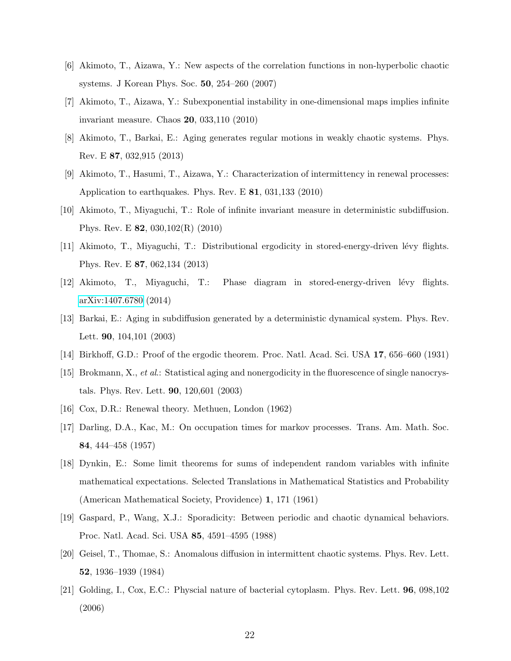- [6] Akimoto, T., Aizawa, Y.: New aspects of the correlation functions in non-hyperbolic chaotic systems. J Korean Phys. Soc. 50, 254–260 (2007)
- <span id="page-21-4"></span>[7] Akimoto, T., Aizawa, Y.: Subexponential instability in one-dimensional maps implies infinite invariant measure. Chaos 20, 033,110 (2010)
- <span id="page-21-3"></span>[8] Akimoto, T., Barkai, E.: Aging generates regular motions in weakly chaotic systems. Phys. Rev. E 87, 032,915 (2013)
- <span id="page-21-14"></span>[9] Akimoto, T., Hasumi, T., Aizawa, Y.: Characterization of intermittency in renewal processes: Application to earthquakes. Phys. Rev. E 81, 031,133 (2010)
- <span id="page-21-5"></span>[10] Akimoto, T., Miyaguchi, T.: Role of infinite invariant measure in deterministic subdiffusion. Phys. Rev. E 82, 030,102(R) (2010)
- <span id="page-21-10"></span>[11] Akimoto, T., Miyaguchi, T.: Distributional ergodicity in stored-energy-driven lévy flights. Phys. Rev. E 87, 062,134 (2013)
- <span id="page-21-11"></span>[12] Akimoto, T., Miyaguchi, T.: Phase diagram in stored-energy-driven lévy flights. [arXiv:1407.6780](http://arxiv.org/abs/1407.6780) (2014)
- <span id="page-21-6"></span>[13] Barkai, E.: Aging in subdiffusion generated by a deterministic dynamical system. Phys. Rev. Lett. 90, 104,101 (2003)
- <span id="page-21-8"></span><span id="page-21-0"></span>[14] Birkhoff, G.D.: Proof of the ergodic theorem. Proc. Natl. Acad. Sci. USA 17, 656–660 (1931)
- [15] Brokmann, X., et al.: Statistical aging and nonergodicity in the fluorescence of single nanocrystals. Phys. Rev. Lett. 90, 120,601 (2003)
- <span id="page-21-13"></span><span id="page-21-1"></span>[16] Cox, D.R.: Renewal theory. Methuen, London (1962)
- [17] Darling, D.A., Kac, M.: On occupation times for markov processes. Trans. Am. Math. Soc. 84, 444–458 (1957)
- <span id="page-21-2"></span>[18] Dynkin, E.: Some limit theorems for sums of independent random variables with infinite mathematical expectations. Selected Translations in Mathematical Statistics and Probability (American Mathematical Society, Providence) 1, 171 (1961)
- <span id="page-21-7"></span>[19] Gaspard, P., Wang, X.J.: Sporadicity: Between periodic and chaotic dynamical behaviors. Proc. Natl. Acad. Sci. USA 85, 4591–4595 (1988)
- <span id="page-21-12"></span>[20] Geisel, T., Thomae, S.: Anomalous diffusion in intermittent chaotic systems. Phys. Rev. Lett. 52, 1936–1939 (1984)
- <span id="page-21-9"></span>[21] Golding, I., Cox, E.C.: Physcial nature of bacterial cytoplasm. Phys. Rev. Lett. 96, 098,102 (2006)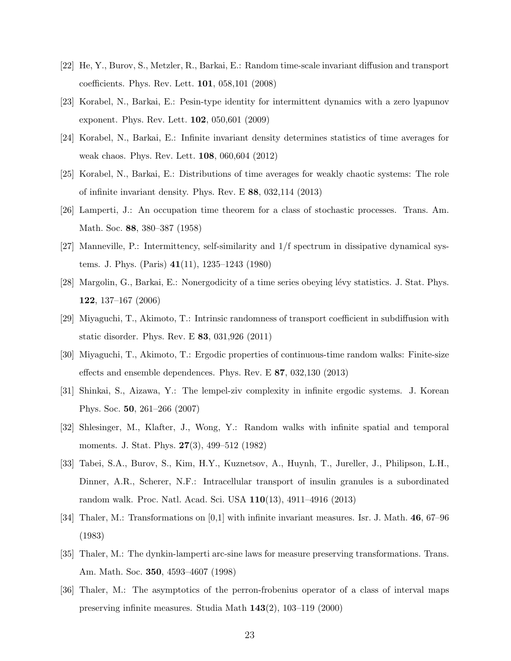- <span id="page-22-4"></span>[22] He, Y., Burov, S., Metzler, R., Barkai, E.: Random time-scale invariant diffusion and transport coefficients. Phys. Rev. Lett. 101, 058,101 (2008)
- <span id="page-22-2"></span>[23] Korabel, N., Barkai, E.: Pesin-type identity for intermittent dynamics with a zero lyapunov exponent. Phys. Rev. Lett. 102, 050,601 (2009)
- <span id="page-22-12"></span>[24] Korabel, N., Barkai, E.: Infinite invariant density determines statistics of time averages for weak chaos. Phys. Rev. Lett. 108, 060,604 (2012)
- <span id="page-22-13"></span>[25] Korabel, N., Barkai, E.: Distributions of time averages for weakly chaotic systems: The role of infinite invariant density. Phys. Rev. E 88, 032,114 (2013)
- <span id="page-22-1"></span>[26] Lamperti, J.: An occupation time theorem for a class of stochastic processes. Trans. Am. Math. Soc. 88, 380–387 (1958)
- <span id="page-22-9"></span>[27] Manneville, P.: Intermittency, self-similarity and 1/f spectrum in dissipative dynamical systems. J. Phys. (Paris) 41(11), 1235–1243 (1980)
- <span id="page-22-7"></span>[28] Margolin, G., Barkai, E.: Nonergodicity of a time series obeying lévy statistics. J. Stat. Phys. 122, 137–167 (2006)
- <span id="page-22-6"></span>[29] Miyaguchi, T., Akimoto, T.: Intrinsic randomness of transport coefficient in subdiffusion with static disorder. Phys. Rev. E 83, 031,926 (2011)
- <span id="page-22-5"></span>[30] Miyaguchi, T., Akimoto, T.: Ergodic properties of continuous-time random walks: Finite-size effects and ensemble dependences. Phys. Rev. E 87, 032,130 (2013)
- <span id="page-22-14"></span>[31] Shinkai, S., Aizawa, Y.: The lempel-ziv complexity in infinite ergodic systems. J. Korean Phys. Soc. 50, 261–266 (2007)
- <span id="page-22-10"></span>[32] Shlesinger, M., Klafter, J., Wong, Y.: Random walks with infinite spatial and temporal moments. J. Stat. Phys. 27(3), 499–512 (1982)
- <span id="page-22-3"></span>[33] Tabei, S.A., Burov, S., Kim, H.Y., Kuznetsov, A., Huynh, T., Jureller, J., Philipson, L.H., Dinner, A.R., Scherer, N.F.: Intracellular transport of insulin granules is a subordinated random walk. Proc. Natl. Acad. Sci. USA 110(13), 4911–4916 (2013)
- <span id="page-22-8"></span>[34] Thaler, M.: Transformations on [0,1] with infinite invariant measures. Isr. J. Math. 46, 67–96 (1983)
- <span id="page-22-0"></span>[35] Thaler, M.: The dynkin-lamperti arc-sine laws for measure preserving transformations. Trans. Am. Math. Soc. 350, 4593–4607 (1998)
- <span id="page-22-11"></span>[36] Thaler, M.: The asymptotics of the perron-frobenius operator of a class of interval maps preserving infinite measures. Studia Math 143(2), 103–119 (2000)